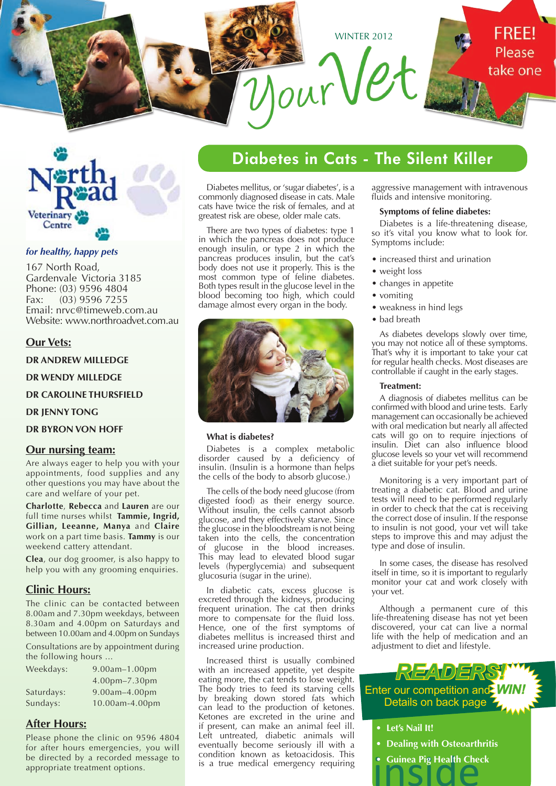



### *for healthy, happy pets*

167 North Road, Gardenvale Victoria 3185 Phone: (03) 9596 4804 Fax: (03) 9596 7255 Email: nrvc@timeweb.com.au Website: www.northroadvet.com.au

### **Our Vets:**

**DR ANDREW MILLEDGE**

**DR WENDY MILLEDGE**

**DR CAROLINE THURSFIELD**

**DR JENNY TONG**

**DR BYRON VON HOFF**

### **Our nursing team:**

Are always eager to help you with your appointments, food supplies and any other questions you may have about the care and welfare of your pet.

**Charlotte**, **Rebecca** and **Lauren** are our full time nurses whilst **Tammie, Ingrid, Gillian, Leeanne, Manya** and **Claire** work on a part time basis. **Tammy** is our weekend cattery attendant.

**Clea**, our dog groomer, is also happy to help you with any grooming enquiries.

## **Clinic Hours:**

The clinic can be contacted between 8.00am and 7.30pm weekdays, between 8.30am and 4.00pm on Saturdays and between 10.00am and 4.00pm on Sundays

Consultations are by appointment during the following hours ...

| Weekdays:  | 9.00am-1.00pm        |  |  |  |  |
|------------|----------------------|--|--|--|--|
|            | $4.00$ pm $-7.30$ pm |  |  |  |  |
| Saturdays: | $9.00$ am $-4.00$ pm |  |  |  |  |
| Sundays:   | 10.00am-4.00pm       |  |  |  |  |

## **After Hours:**

Please phone the clinic on 9596 4804 for after hours emergencies, you will be directed by a recorded message to appropriate treatment options.

## **Diabetes in Cats - The Silent Killer**

Diabetes mellitus, or 'sugar diabetes', is a commonly diagnosed disease in cats. Male cats have twice the risk of females, and at greatest risk are obese, older male cats.

There are two types of diabetes: type 1 in which the pancreas does not produce enough insulin, or type 2 in which the pancreas produces insulin, but the cat's body does not use it properly. This is the most common type of feline diabetes. Both types result in the glucose level in the blood becoming too high, which could damage almost every organ in the body.



#### **What is diabetes?**

Diabetes is a complex metabolic disorder caused by a deficiency of insulin. (Insulin is a hormone than helps the cells of the body to absorb glucose.)

The cells of the body need glucose (from digested food) as their energy source. Without insulin, the cells cannot absorb glucose, and they effectively starve. Since the glucose in the bloodstream is not being taken into the cells, the concentration of glucose in the blood increases. This may lead to elevated blood sugar levels (hyperglycemia) and subsequent glucosuria (sugar in the urine).

In diabetic cats, excess glucose is excreted through the kidneys, producing frequent urination. The cat then drinks more to compensate for the fluid loss. Hence, one of the first symptoms of diabetes mellitus is increased thirst and increased urine production.

Increased thirst is usually combined with an increased appetite, yet despite eating more, the cat tends to lose weight. The body tries to feed its starving cells by breaking down stored fats which can lead to the production of ketones. Ketones are excreted in the urine and if present, can make an animal feel ill. Left untreated, diabetic animals will eventually become seriously ill with a condition known as ketoacidosis. This is a true medical emergency requiring aggressive management with intravenous fluids and intensive monitoring.

### **Symptoms of feline diabetes:**

Diabetes is a life-threatening disease, so it's vital you know what to look for. Symptoms include:

- increased thirst and urination
- weight loss
- changes in appetite
- vomiting
- weakness in hind legs
- bad breath

As diabetes develops slowly over time, you may not notice all of these symptoms. That's why it is important to take your cat for regular health checks. Most diseases are controllable if caught in the early stages.

#### **Treatment:**

A diagnosis of diabetes mellitus can be confirmed with blood and urine tests. Early management can occasionally be achieved with oral medication but nearly all affected cats will go on to require injections of insulin. Diet can also influence blood glucose levels so your vet will recommend a diet suitable for your pet's needs.

Monitoring is a very important part of treating a diabetic cat. Blood and urine tests will need to be performed regularly in order to check that the cat is receiving the correct dose of insulin. If the response to insulin is not good, your vet will take steps to improve this and may adjust the type and dose of insulin.

In some cases, the disease has resolved itself in time, so it is important to regularly monitor your cat and work closely with your vet.

Although a permanent cure of this life-threatening disease has not yet been discovered, your cat can live a normal life with the help of medication and an adjustment to diet and lifestyle.

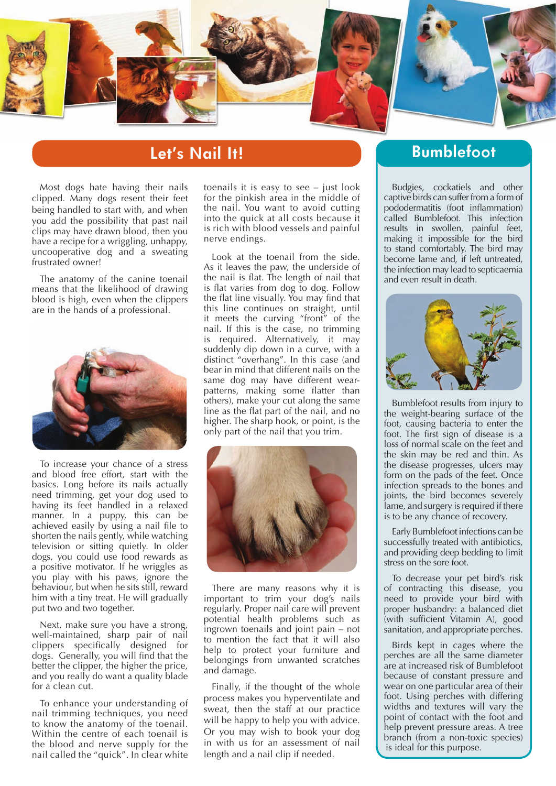

## **Let's Nail It!**

Most dogs hate having their nails clipped. Many dogs resent their feet being handled to start with, and when you add the possibility that past nail clips may have drawn blood, then you have a recipe for a wriggling, unhappy, uncooperative dog and a sweating frustrated owner!

The anatomy of the canine toenail means that the likelihood of drawing blood is high, even when the clippers are in the hands of a professional.



To increase your chance of a stress and blood free effort, start with the basics. Long before its nails actually need trimming, get your dog used to having its feet handled in a relaxed manner. In a puppy, this can be achieved easily by using a nail file to shorten the nails gently, while watching television or sitting quietly. In older dogs, you could use food rewards as a positive motivator. If he wriggles as you play with his paws, ignore the behaviour, but when he sits still, reward him with a tiny treat. He will gradually put two and two together.

Next, make sure you have a strong, well-maintained, sharp pair of nail clippers specifically designed for dogs. Generally, you will find that the better the clipper, the higher the price, and you really do want a quality blade for a clean cut.

To enhance your understanding of nail trimming techniques, you need to know the anatomy of the toenail. Within the centre of each toenail is the blood and nerve supply for the nail called the "quick". In clear white

toenails it is easy to see – just look for the pinkish area in the middle of the nail. You want to avoid cutting into the quick at all costs because it is rich with blood vessels and painful nerve endings.

Look at the toenail from the side. As it leaves the paw, the underside of the nail is flat. The length of nail that is flat varies from dog to dog. Follow the flat line visually. You may find that this line continues on straight, until it meets the curving "front" of the nail. If this is the case, no trimming is required. Alternatively, it may suddenly dip down in a curve, with a distinct "overhang". In this case (and bear in mind that different nails on the same dog may have different wearpatterns, making some flatter than others), make your cut along the same line as the flat part of the nail, and no higher. The sharp hook, or point, is the only part of the nail that you trim.



There are many reasons why it is important to trim your dog's nails regularly. Proper nail care will prevent potential health problems such as ingrown toenails and joint pain – not to mention the fact that it will also help to protect your furniture and belongings from unwanted scratches and damage.

Finally, if the thought of the whole process makes you hyperventilate and sweat, then the staff at our practice will be happy to help you with advice. Or you may wish to book your dog in with us for an assessment of nail length and a nail clip if needed.

## **Bumblefoot**

Budgies, cockatiels and other captive birds can suffer from a form of pododermatitis (foot inflammation) called Bumblefoot. This infection results in swollen, painful feet, making it impossible for the bird to stand comfortably. The bird may become lame and, if left untreated, the infection may lead to septicaemia and even result in death.



Bumblefoot results from injury to the weight-bearing surface of the foot, causing bacteria to enter the foot. The first sign of disease is a loss of normal scale on the feet and the skin may be red and thin. As the disease progresses, ulcers may form on the pads of the feet. Once infection spreads to the bones and joints, the bird becomes severely lame, and surgery is required if there is to be any chance of recovery.

Early Bumblefoot infections can be successfully treated with antibiotics, and providing deep bedding to limit stress on the sore foot.

To decrease your pet bird's risk of contracting this disease, you need to provide your bird with proper husbandry: a balanced diet (with sufficient Vitamin A), good sanitation, and appropriate perches.

Birds kept in cages where the perches are all the same diameter are at increased risk of Bumblefoot because of constant pressure and wear on one particular area of their foot. Using perches with differing widths and textures will vary the point of contact with the foot and help prevent pressure areas. A tree branch (from a non-toxic species) is ideal for this purpose.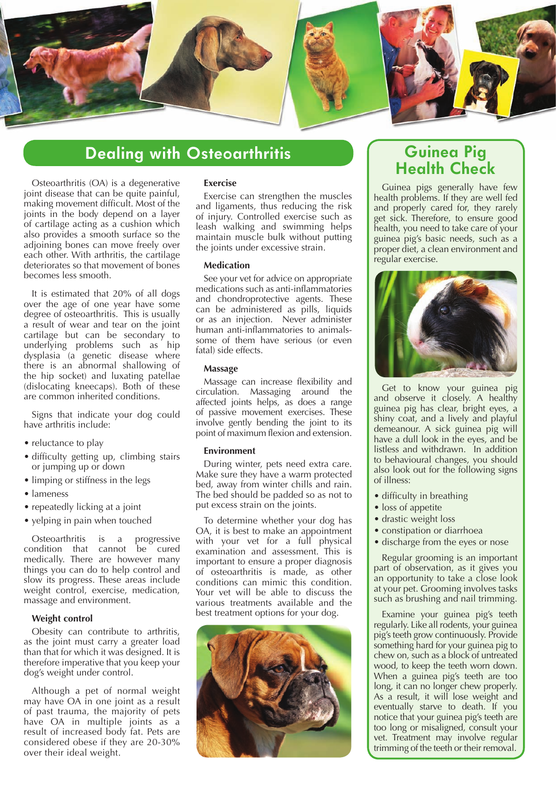

## **Dealing with Osteoarthritis**

Osteoarthritis (OA) is a degenerative joint disease that can be quite painful, making movement difficult. Most of the joints in the body depend on a layer of cartilage acting as a cushion which also provides a smooth surface so the adjoining bones can move freely over each other. With arthritis, the cartilage deteriorates so that movement of bones becomes less smooth.

It is estimated that 20% of all dogs over the age of one year have some degree of osteoarthritis. This is usually a result of wear and tear on the joint cartilage but can be secondary to underlying problems such as hip dysplasia (a genetic disease where there is an abnormal shallowing of the hip socket) and luxating patellae (dislocating kneecaps). Both of these are common inherited conditions.

Signs that indicate your dog could have arthritis include:

- reluctance to play
- difficulty getting up, climbing stairs or jumping up or down
- limping or stiffness in the legs
- lameness
- repeatedly licking at a joint
- yelping in pain when touched

Osteoarthritis is a progressive condition that cannot be cured medically. There are however many things you can do to help control and slow its progress. These areas include weight control, exercise, medication, massage and environment.

### **Weight control**

Obesity can contribute to arthritis, as the joint must carry a greater load than that for which it was designed. It is therefore imperative that you keep your dog's weight under control.

Although a pet of normal weight may have OA in one joint as a result of past trauma, the majority of pets have OA in multiple joints as a result of increased body fat. Pets are considered obese if they are 20-30% over their ideal weight.

### **Exercise**

Exercise can strengthen the muscles and ligaments, thus reducing the risk of injury. Controlled exercise such as leash walking and swimming helps maintain muscle bulk without putting the joints under excessive strain.

### **Medication**

See your vet for advice on appropriate medications such as anti-inflammatories and chondroprotective agents. These can be administered as pills, liquids or as an injection. Never administer human anti-inflammatories to animalssome of them have serious (or even fatal) side effects.

#### **Massage**

Massage can increase flexibility and circulation. Massaging around the affected joints helps, as does a range of passive movement exercises. These involve gently bending the joint to its point of maximum flexion and extension.

#### **Environment**

During winter, pets need extra care. Make sure they have a warm protected bed, away from winter chills and rain. The bed should be padded so as not to put excess strain on the joints.

To determine whether your dog has OA, it is best to make an appointment with your vet for a full physical examination and assessment. This is important to ensure a proper diagnosis of osteoarthritis is made, as other conditions can mimic this condition. Your vet will be able to discuss the various treatments available and the best treatment options for your dog.



## **Guinea Pig Health Check**

Guinea pigs generally have few health problems. If they are well fed and properly cared for, they rarely get sick. Therefore, to ensure good health, you need to take care of your guinea pig's basic needs, such as a proper diet, a clean environment and regular exercise.



Get to know your guinea pig and observe it closely. A healthy guinea pig has clear, bright eyes, a shiny coat, and a lively and playful demeanour. A sick guinea pig will have a dull look in the eyes, and be listless and withdrawn. In addition to behavioural changes, you should also look out for the following signs of illness:

- difficulty in breathing
- loss of appetite
- drastic weight loss
- constipation or diarrhoea
- discharge from the eyes or nose

Regular grooming is an important part of observation, as it gives you an opportunity to take a close look at your pet. Grooming involves tasks such as brushing and nail trimming.

Examine your guinea pig's teeth regularly. Like all rodents, your guinea pig's teeth grow continuously. Provide something hard for your guinea pig to chew on, such as a block of untreated wood, to keep the teeth worn down. When a guinea pig's teeth are too long, it can no longer chew properly. As a result, it will lose weight and eventually starve to death. If you notice that your guinea pig's teeth are too long or misaligned, consult your vet. Treatment may involve regular trimming of the teeth or their removal.